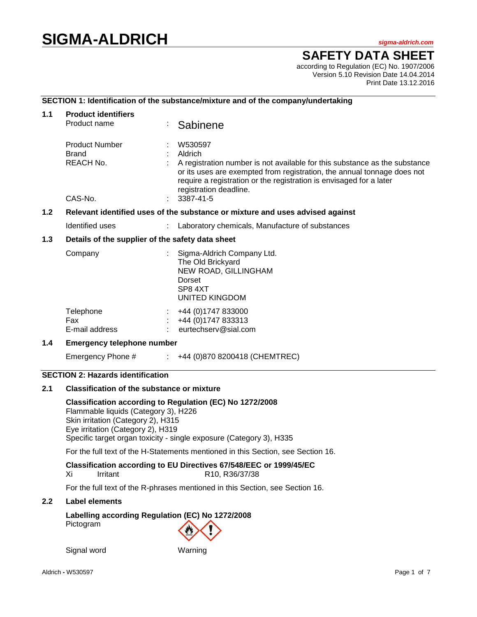# **SIGMA-ALDRICH** *sigma-aldrich.com*

# **SAFETY DATA SHEET**

according to Regulation (EC) No. 1907/2006 Version 5.10 Revision Date 14.04.2014 Print Date 13.12.2016

# **SECTION 1: Identification of the substance/mixture and of the company/undertaking**

| 1.1                                                                                               | <b>Product identifiers</b><br>Product name         |  | Sabinene                                                                                                                                                                                                                                                                     |  |
|---------------------------------------------------------------------------------------------------|----------------------------------------------------|--|------------------------------------------------------------------------------------------------------------------------------------------------------------------------------------------------------------------------------------------------------------------------------|--|
|                                                                                                   | <b>Product Number</b><br><b>Brand</b><br>REACH No. |  | W530597<br>Aldrich<br>A registration number is not available for this substance as the substance<br>or its uses are exempted from registration, the annual tonnage does not<br>require a registration or the registration is envisaged for a later<br>registration deadline. |  |
|                                                                                                   | CAS-No.                                            |  | 3387-41-5                                                                                                                                                                                                                                                                    |  |
| 1.2 <sub>2</sub><br>Relevant identified uses of the substance or mixture and uses advised against |                                                    |  |                                                                                                                                                                                                                                                                              |  |
|                                                                                                   | Identified uses                                    |  | Laboratory chemicals, Manufacture of substances                                                                                                                                                                                                                              |  |
| 1.3                                                                                               | Details of the supplier of the safety data sheet   |  |                                                                                                                                                                                                                                                                              |  |
|                                                                                                   | Company                                            |  | Sigma-Aldrich Company Ltd.<br>The Old Brickyard<br>NEW ROAD, GILLINGHAM<br>Dorset<br>SP84XT<br>UNITED KINGDOM                                                                                                                                                                |  |
|                                                                                                   | Telephone<br>Fax<br>E-mail address                 |  | +44 (0) 1747 833000<br>+44 (0) 1747 833313<br>eurtechserv@sial.com                                                                                                                                                                                                           |  |
| 1.4                                                                                               | <b>Emergency telephone number</b>                  |  |                                                                                                                                                                                                                                                                              |  |
|                                                                                                   | Emergency Phone #                                  |  | $\div$ +44 (0)870 8200418 (CHEMTREC)                                                                                                                                                                                                                                         |  |

# **SECTION 2: Hazards identification**

# **2.1 Classification of the substance or mixture**

**Classification according to Regulation (EC) No 1272/2008** Flammable liquids (Category 3), H226 Skin irritation (Category 2), H315 Eye irritation (Category 2), H319 Specific target organ toxicity - single exposure (Category 3), H335

For the full text of the H-Statements mentioned in this Section, see Section 16.

**Classification according to EU Directives 67/548/EEC or 1999/45/EC** Xi Irritant R10, R36/37/38

For the full text of the R-phrases mentioned in this Section, see Section 16.

#### **2.2 Label elements**

**Labelling according Regulation (EC) No 1272/2008** Pictogram

Signal word Warning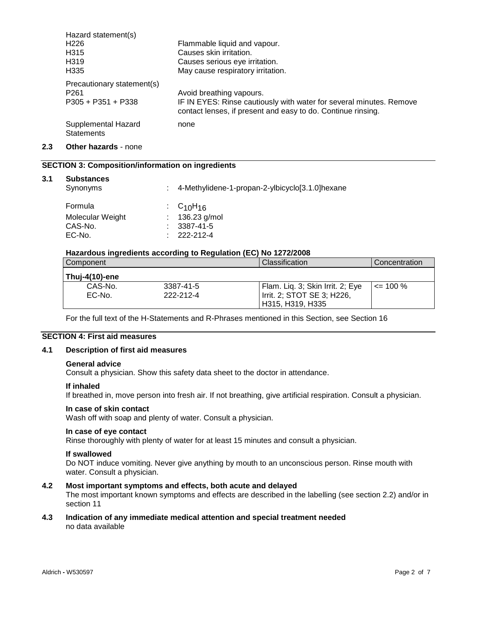| Hazard statement(s)                      |                                                                                                                                     |
|------------------------------------------|-------------------------------------------------------------------------------------------------------------------------------------|
| H <sub>226</sub>                         | Flammable liquid and vapour.                                                                                                        |
| H315                                     | Causes skin irritation.                                                                                                             |
| H319                                     | Causes serious eye irritation.                                                                                                      |
| H335                                     | May cause respiratory irritation.                                                                                                   |
| Precautionary statement(s)               |                                                                                                                                     |
| P <sub>261</sub>                         | Avoid breathing vapours.                                                                                                            |
| P305 + P351 + P338                       | IF IN EYES: Rinse cautiously with water for several minutes. Remove<br>contact lenses, if present and easy to do. Continue rinsing. |
| Supplemental Hazard<br><b>Statements</b> | none                                                                                                                                |

# **2.3 Other hazards** - none

# **SECTION 3: Composition/information on ingredients**

| 3.1 | <b>Substances</b> |
|-----|-------------------|
|     |                   |

| ,,,,,,,,,,,,,<br>Synonyms | : 4-Methylidene-1-propan-2-ylbicyclo[3.1.0]hexane |
|---------------------------|---------------------------------------------------|
| Formula                   | $\cdot$ C <sub>10</sub> H <sub>16</sub>           |
| Molecular Weight          | : $136.23$ g/mol                                  |
| CAS-No.                   | $: 3387 - 41 - 5$                                 |
| EC-No.                    | $: 222 - 212 - 4$                                 |
|                           |                                                   |

#### **Hazardous ingredients according to Regulation (EC) No 1272/2008**

| Component        |           | Classification                   | Concentration |
|------------------|-----------|----------------------------------|---------------|
| l Thui-4(10)-ene |           |                                  |               |
| CAS-No.          | 3387-41-5 | Flam. Liq. 3; Skin Irrit. 2; Eye | $\leq$ 100 %  |
| EC-No.           | 222-212-4 | Irrit. 2; STOT SE 3; H226,       |               |
|                  |           | H315, H319, H335                 |               |

For the full text of the H-Statements and R-Phrases mentioned in this Section, see Section 16

# **SECTION 4: First aid measures**

# **4.1 Description of first aid measures**

#### **General advice**

Consult a physician. Show this safety data sheet to the doctor in attendance.

#### **If inhaled**

If breathed in, move person into fresh air. If not breathing, give artificial respiration. Consult a physician.

#### **In case of skin contact**

Wash off with soap and plenty of water. Consult a physician.

#### **In case of eye contact**

Rinse thoroughly with plenty of water for at least 15 minutes and consult a physician.

#### **If swallowed**

Do NOT induce vomiting. Never give anything by mouth to an unconscious person. Rinse mouth with water. Consult a physician.

#### **4.2 Most important symptoms and effects, both acute and delayed**

The most important known symptoms and effects are described in the labelling (see section 2.2) and/or in section 11

#### **4.3 Indication of any immediate medical attention and special treatment needed** no data available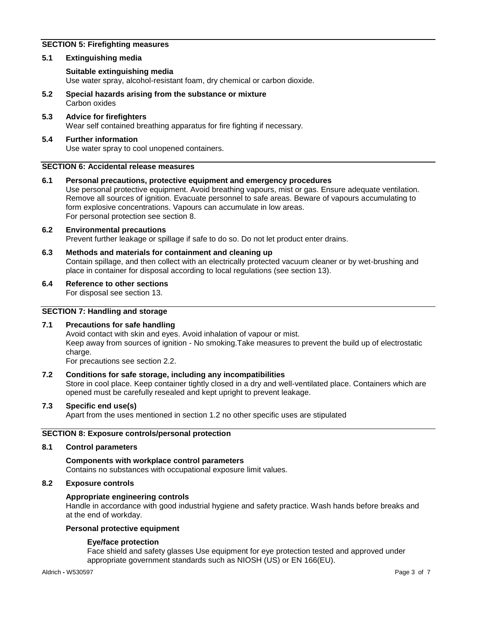# **SECTION 5: Firefighting measures**

# **5.1 Extinguishing media**

# **Suitable extinguishing media**

Use water spray, alcohol-resistant foam, dry chemical or carbon dioxide.

- **5.2 Special hazards arising from the substance or mixture** Carbon oxides
- **5.3 Advice for firefighters** Wear self contained breathing apparatus for fire fighting if necessary.

# **5.4 Further information** Use water spray to cool unopened containers.

#### **SECTION 6: Accidental release measures**

# **6.1 Personal precautions, protective equipment and emergency procedures**

Use personal protective equipment. Avoid breathing vapours, mist or gas. Ensure adequate ventilation. Remove all sources of ignition. Evacuate personnel to safe areas. Beware of vapours accumulating to form explosive concentrations. Vapours can accumulate in low areas. For personal protection see section 8.

# **6.2 Environmental precautions** Prevent further leakage or spillage if safe to do so. Do not let product enter drains.

- **6.3 Methods and materials for containment and cleaning up** Contain spillage, and then collect with an electrically protected vacuum cleaner or by wet-brushing and place in container for disposal according to local regulations (see section 13).
- **6.4 Reference to other sections**

For disposal see section 13.

# **SECTION 7: Handling and storage**

# **7.1 Precautions for safe handling**

Avoid contact with skin and eyes. Avoid inhalation of vapour or mist. Keep away from sources of ignition - No smoking.Take measures to prevent the build up of electrostatic charge.

For precautions see section 2.2.

# **7.2 Conditions for safe storage, including any incompatibilities**

Store in cool place. Keep container tightly closed in a dry and well-ventilated place. Containers which are opened must be carefully resealed and kept upright to prevent leakage.

# **7.3 Specific end use(s)**

Apart from the uses mentioned in section 1.2 no other specific uses are stipulated

# **SECTION 8: Exposure controls/personal protection**

#### **8.1 Control parameters**

# **Components with workplace control parameters**

Contains no substances with occupational exposure limit values.

# **8.2 Exposure controls**

# **Appropriate engineering controls**

Handle in accordance with good industrial hygiene and safety practice. Wash hands before breaks and at the end of workday.

# **Personal protective equipment**

# **Eye/face protection**

Face shield and safety glasses Use equipment for eye protection tested and approved under appropriate government standards such as NIOSH (US) or EN 166(EU).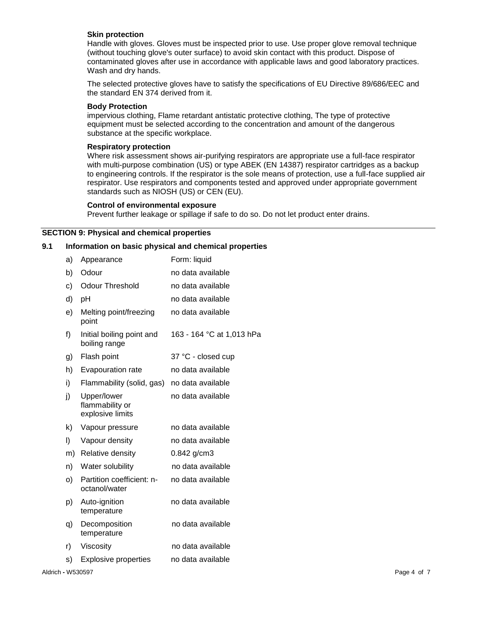#### **Skin protection**

Handle with gloves. Gloves must be inspected prior to use. Use proper glove removal technique (without touching glove's outer surface) to avoid skin contact with this product. Dispose of contaminated gloves after use in accordance with applicable laws and good laboratory practices. Wash and dry hands.

The selected protective gloves have to satisfy the specifications of EU Directive 89/686/EEC and the standard EN 374 derived from it.

#### **Body Protection**

impervious clothing, Flame retardant antistatic protective clothing, The type of protective equipment must be selected according to the concentration and amount of the dangerous substance at the specific workplace.

#### **Respiratory protection**

Where risk assessment shows air-purifying respirators are appropriate use a full-face respirator with multi-purpose combination (US) or type ABEK (EN 14387) respirator cartridges as a backup to engineering controls. If the respirator is the sole means of protection, use a full-face supplied air respirator. Use respirators and components tested and approved under appropriate government standards such as NIOSH (US) or CEN (EU).

#### **Control of environmental exposure**

Prevent further leakage or spillage if safe to do so. Do not let product enter drains.

#### **SECTION 9: Physical and chemical properties**

# **9.1 Information on basic physical and chemical properties**

|                   | a) | Appearance                                         | Form: liquid              |
|-------------------|----|----------------------------------------------------|---------------------------|
|                   | b) | Odour                                              | no data available         |
|                   | C) | <b>Odour Threshold</b>                             | no data available         |
|                   | d) | pH                                                 | no data available         |
|                   | e) | Melting point/freezing<br>point                    | no data available         |
|                   | f) | Initial boiling point and<br>boiling range         | 163 - 164 °C at 1,013 hPa |
|                   | g) | Flash point                                        | 37 °C - closed cup        |
|                   | h) | Evapouration rate                                  | no data available         |
|                   | i) | Flammability (solid, gas)                          | no data available         |
|                   | j) | Upper/lower<br>flammability or<br>explosive limits | no data available         |
|                   | k) | Vapour pressure                                    | no data available         |
|                   | I) | Vapour density                                     | no data available         |
|                   | m) | Relative density                                   | 0.842 g/cm3               |
|                   | n) | Water solubility                                   | no data available         |
|                   | O) | Partition coefficient: n-<br>octanol/water         | no data available         |
|                   | p) | Auto-ignition<br>temperature                       | no data available         |
|                   | q) | Decomposition<br>temperature                       | no data available         |
|                   | r) | Viscosity                                          | no data available         |
|                   | S) | <b>Explosive properties</b>                        | no data available         |
| Aldrich - W530597 |    |                                                    | Page 4 of 7               |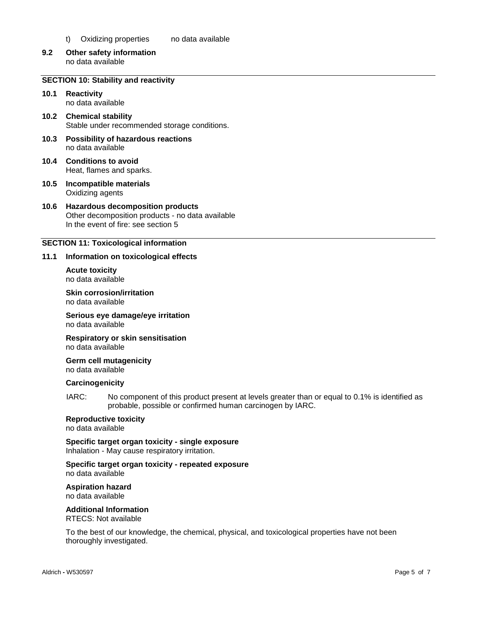- t) Oxidizing properties no data available
- **9.2 Other safety information** no data available

# **SECTION 10: Stability and reactivity**

- **10.1 Reactivity** no data available
- **10.2 Chemical stability** Stable under recommended storage conditions.
- **10.3 Possibility of hazardous reactions** no data available
- **10.4 Conditions to avoid** Heat, flames and sparks.
- **10.5 Incompatible materials** Oxidizing agents

#### **10.6 Hazardous decomposition products** Other decomposition products - no data available In the event of fire: see section 5

# **SECTION 11: Toxicological information**

#### **11.1 Information on toxicological effects**

**Acute toxicity** no data available

**Skin corrosion/irritation** no data available

**Serious eye damage/eye irritation** no data available

**Respiratory or skin sensitisation** no data available

**Germ cell mutagenicity** no data available

#### **Carcinogenicity**

IARC: No component of this product present at levels greater than or equal to 0.1% is identified as probable, possible or confirmed human carcinogen by IARC.

#### **Reproductive toxicity**

no data available

**Specific target organ toxicity - single exposure** Inhalation - May cause respiratory irritation.

#### **Specific target organ toxicity - repeated exposure** no data available

**Aspiration hazard**

no data available

**Additional Information**

RTECS: Not available

To the best of our knowledge, the chemical, physical, and toxicological properties have not been thoroughly investigated.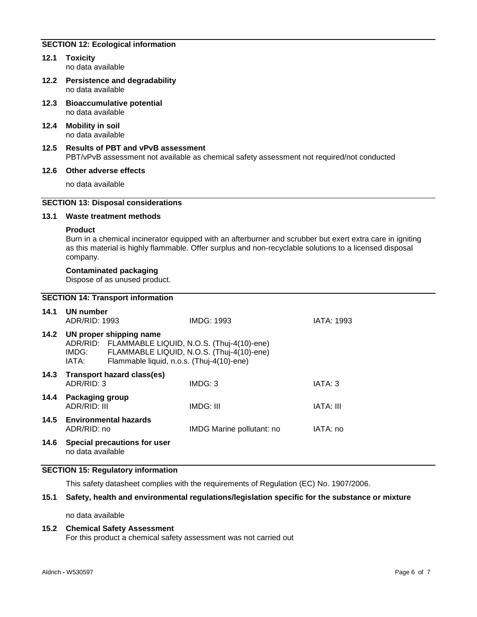# **SECTION 12: Ecological information**

- **12.1 Toxicity** no data available
- **12.2 Persistence and degradability** no data available
- **12.3 Bioaccumulative potential** no data available
- **12.4 Mobility in soil** no data available
- **12.5 Results of PBT and vPvB assessment** PBT/vPvB assessment not available as chemical safety assessment not required/not conducted

#### **12.6 Other adverse effects**

no data available

# **SECTION 13: Disposal considerations**

#### **13.1 Waste treatment methods**

#### **Product**

Burn in a chemical incinerator equipped with an afterburner and scrubber but exert extra care in igniting as this material is highly flammable. Offer surplus and non-recyclable solutions to a licensed disposal company.

#### **Contaminated packaging**

Dispose of as unused product.

#### **SECTION 14: Transport information**

| 14.1 | UN number<br>ADR/RID: 1993                                                                                                                                                                |                              | <b>IMDG: 1993</b>         | <b>IATA: 1993</b> |
|------|-------------------------------------------------------------------------------------------------------------------------------------------------------------------------------------------|------------------------------|---------------------------|-------------------|
| 14.2 | UN proper shipping name<br>ADR/RID: FLAMMABLE LIQUID, N.O.S. (Thuj-4(10)-ene)<br>FLAMMABLE LIQUID, N.O.S. (Thuj-4(10)-ene)<br>IMDG:<br>Flammable liquid, n.o.s. (Thuj-4(10)-ene)<br>IATA: |                              |                           |                   |
| 14.3 | ADR/RID: 3                                                                                                                                                                                | Transport hazard class(es)   | IMDG: 3                   | IATA: 3           |
| 14.4 | <b>Packaging group</b><br>ADR/RID: III                                                                                                                                                    |                              | IMDG: III                 | IATA: III         |
| 14.5 | ADR/RID: no                                                                                                                                                                               | <b>Environmental hazards</b> | IMDG Marine pollutant: no | IATA: no          |
| 14.6 |                                                                                                                                                                                           | Special precautions for user |                           |                   |

no data available

# **SECTION 15: Regulatory information**

This safety datasheet complies with the requirements of Regulation (EC) No. 1907/2006.

#### **15.1 Safety, health and environmental regulations/legislation specific for the substance or mixture**

no data available

# **15.2 Chemical Safety Assessment**

For this product a chemical safety assessment was not carried out